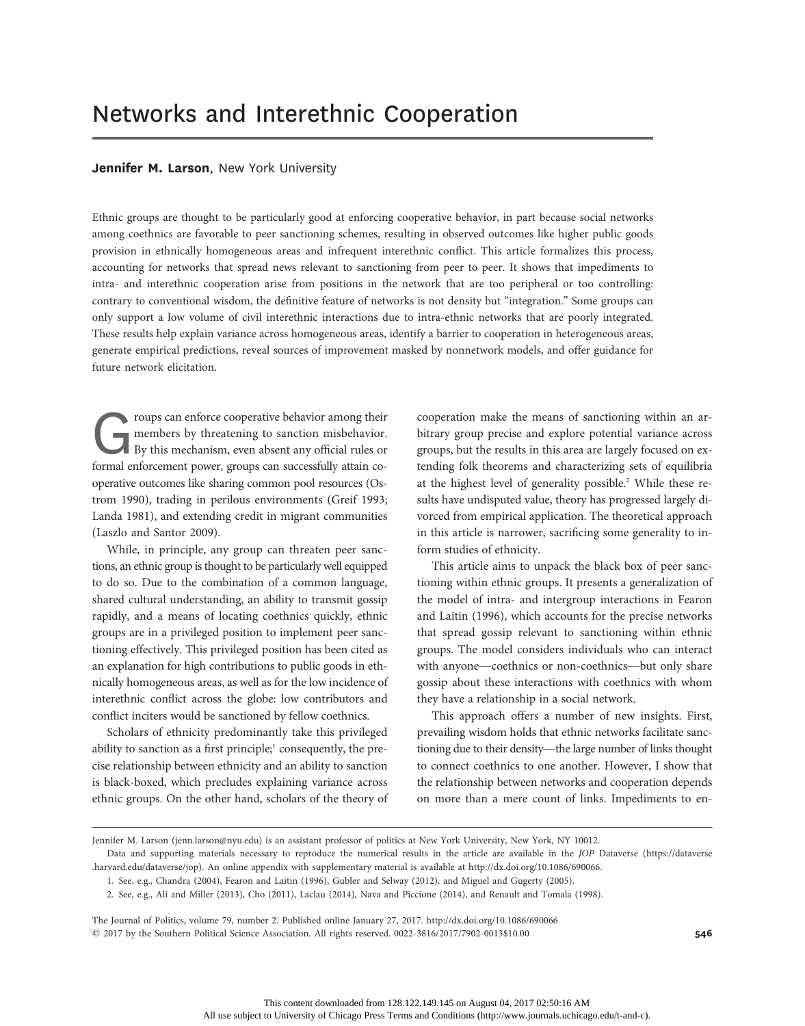### Jennifer M. Larson, New York University

Ethnic groups are thought to be particularly good at enforcing cooperative behavior, in part because social networks among coethnics are favorable to peer sanctioning schemes, resulting in observed outcomes like higher public goods provision in ethnically homogeneous areas and infrequent interethnic conflict. This article formalizes this process, accounting for networks that spread news relevant to sanctioning from peer to peer. It shows that impediments to intra- and interethnic cooperation arise from positions in the network that are too peripheral or too controlling: contrary to conventional wisdom, the definitive feature of networks is not density but "integration." Some groups can only support a low volume of civil interethnic interactions due to intra-ethnic networks that are poorly integrated. These results help explain variance across homogeneous areas, identify a barrier to cooperation in heterogeneous areas, generate empirical predictions, reveal sources of improvement masked by nonnetwork models, and offer guidance for future network elicitation.

From their members by threatening to sanction misbehavior.<br>By this mechanism, even absent any official rules or formal enforcement power, groups can successfully attain comembers by threatening to sanction misbehavior. By this mechanism, even absent any official rules or formal enforcement power, groups can successfully attain cooperative outcomes like sharing common pool resources (Ostrom 1990), trading in perilous environments (Greif 1993; Landa 1981), and extending credit in migrant communities (Laszlo and Santor 2009).

While, in principle, any group can threaten peer sanctions, an ethnic group is thought to be particularly well equipped to do so. Due to the combination of a common language, shared cultural understanding, an ability to transmit gossip rapidly, and a means of locating coethnics quickly, ethnic groups are in a privileged position to implement peer sanctioning effectively. This privileged position has been cited as an explanation for high contributions to public goods in ethnically homogeneous areas, as well as for the low incidence of interethnic conflict across the globe: low contributors and conflict inciters would be sanctioned by fellow coethnics.

Scholars of ethnicity predominantly take this privileged ability to sanction as a first principle;<sup>1</sup> consequently, the precise relationship between ethnicity and an ability to sanction is black-boxed, which precludes explaining variance across ethnic groups. On the other hand, scholars of the theory of

cooperation make the means of sanctioning within an arbitrary group precise and explore potential variance across groups, but the results in this area are largely focused on extending folk theorems and characterizing sets of equilibria at the highest level of generality possible.<sup>2</sup> While these results have undisputed value, theory has progressed largely divorced from empirical application. The theoretical approach in this article is narrower, sacrificing some generality to inform studies of ethnicity.

This article aims to unpack the black box of peer sanctioning within ethnic groups. It presents a generalization of the model of intra- and intergroup interactions in Fearon and Laitin (1996), which accounts for the precise networks that spread gossip relevant to sanctioning within ethnic groups. The model considers individuals who can interact with anyone—coethnics or non-coethnics—but only share gossip about these interactions with coethnics with whom they have a relationship in a social network.

This approach offers a number of new insights. First, prevailing wisdom holds that ethnic networks facilitate sanctioning due to their density—the large number of links thought to connect coethnics to one another. However, I show that the relationship between networks and cooperation depends on more than a mere count of links. Impediments to en-

The Journal of Politics, volume 79, number 2. Published online January 27, 2017. http://dx.doi.org/10.1086/690066  $@$  2017 by the Southern Political Science Association. All rights reserved. 0022-3816/2017/7902-0013\$10.00  $546$ 

Jennifer M. Larson (jenn.larson@nyu.edu) is an assistant professor of politics at New York University, New York, NY 10012.

Data and supporting materials necessary to reproduce the numerical results in the article are available in the JOP Dataverse (https://dataverse .harvard.edu/dataverse/jop). An online appendix with supplementary material is available at http://dx.doi.org/10.1086/690066.

<sup>1.</sup> See, e.g., Chandra (2004), Fearon and Laitin (1996), Gubler and Selway (2012), and Miguel and Gugerty (2005).

<sup>2.</sup> See, e.g., Ali and Miller (2013), Cho (2011), Laclau (2014), Nava and Piccione (2014), and Renault and Tomala (1998).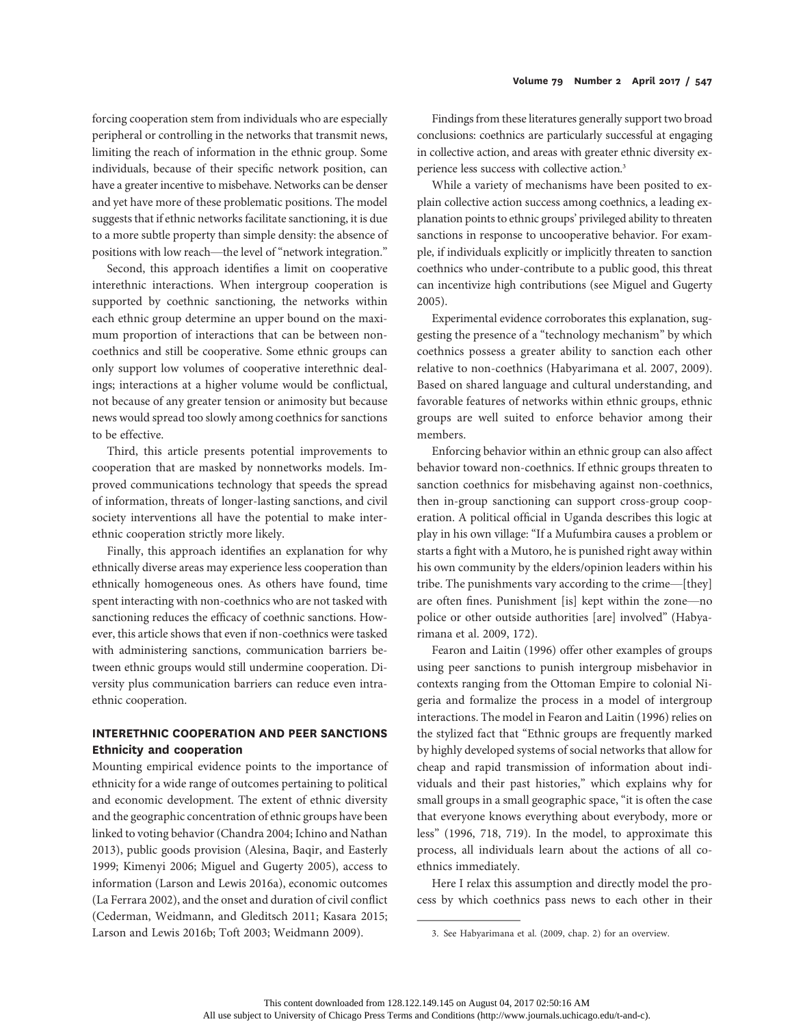forcing cooperation stem from individuals who are especially peripheral or controlling in the networks that transmit news, limiting the reach of information in the ethnic group. Some individuals, because of their specific network position, can have a greater incentive to misbehave. Networks can be denser and yet have more of these problematic positions. The model suggests that if ethnic networks facilitate sanctioning, it is due to a more subtle property than simple density: the absence of positions with low reach—the level of "network integration."

Second, this approach identifies a limit on cooperative interethnic interactions. When intergroup cooperation is supported by coethnic sanctioning, the networks within each ethnic group determine an upper bound on the maximum proportion of interactions that can be between noncoethnics and still be cooperative. Some ethnic groups can only support low volumes of cooperative interethnic dealings; interactions at a higher volume would be conflictual, not because of any greater tension or animosity but because news would spread too slowly among coethnics for sanctions to be effective.

Third, this article presents potential improvements to cooperation that are masked by nonnetworks models. Improved communications technology that speeds the spread of information, threats of longer-lasting sanctions, and civil society interventions all have the potential to make interethnic cooperation strictly more likely.

Finally, this approach identifies an explanation for why ethnically diverse areas may experience less cooperation than ethnically homogeneous ones. As others have found, time spent interacting with non-coethnics who are not tasked with sanctioning reduces the efficacy of coethnic sanctions. However, this article shows that even if non-coethnics were tasked with administering sanctions, communication barriers between ethnic groups would still undermine cooperation. Diversity plus communication barriers can reduce even intraethnic cooperation.

# INTERETHNIC COOPERATION AND PEER SANCTIONS Ethnicity and cooperation

Mounting empirical evidence points to the importance of ethnicity for a wide range of outcomes pertaining to political and economic development. The extent of ethnic diversity and the geographic concentration of ethnic groups have been linked to voting behavior (Chandra 2004; Ichino and Nathan 2013), public goods provision (Alesina, Baqir, and Easterly 1999; Kimenyi 2006; Miguel and Gugerty 2005), access to information (Larson and Lewis 2016a), economic outcomes (La Ferrara 2002), and the onset and duration of civil conflict (Cederman, Weidmann, and Gleditsch 2011; Kasara 2015; Larson and Lewis 2016b; Toft 2003; Weidmann 2009).

Findings from these literatures generally support two broad conclusions: coethnics are particularly successful at engaging in collective action, and areas with greater ethnic diversity experience less success with collective action.<sup>3</sup>

While a variety of mechanisms have been posited to explain collective action success among coethnics, a leading explanation points to ethnic groups' privileged ability to threaten sanctions in response to uncooperative behavior. For example, if individuals explicitly or implicitly threaten to sanction coethnics who under-contribute to a public good, this threat can incentivize high contributions (see Miguel and Gugerty 2005).

Experimental evidence corroborates this explanation, suggesting the presence of a "technology mechanism" by which coethnics possess a greater ability to sanction each other relative to non-coethnics (Habyarimana et al. 2007, 2009). Based on shared language and cultural understanding, and favorable features of networks within ethnic groups, ethnic groups are well suited to enforce behavior among their members.

Enforcing behavior within an ethnic group can also affect behavior toward non-coethnics. If ethnic groups threaten to sanction coethnics for misbehaving against non-coethnics, then in-group sanctioning can support cross-group cooperation. A political official in Uganda describes this logic at play in his own village: "If a Mufumbira causes a problem or starts a fight with a Mutoro, he is punished right away within his own community by the elders/opinion leaders within his tribe. The punishments vary according to the crime—[they] are often fines. Punishment [is] kept within the zone—no police or other outside authorities [are] involved" (Habyarimana et al. 2009, 172).

Fearon and Laitin (1996) offer other examples of groups using peer sanctions to punish intergroup misbehavior in contexts ranging from the Ottoman Empire to colonial Nigeria and formalize the process in a model of intergroup interactions. The model in Fearon and Laitin (1996) relies on the stylized fact that "Ethnic groups are frequently marked by highly developed systems of social networks that allow for cheap and rapid transmission of information about individuals and their past histories," which explains why for small groups in a small geographic space, "it is often the case that everyone knows everything about everybody, more or less" (1996, 718, 719). In the model, to approximate this process, all individuals learn about the actions of all coethnics immediately.

Here I relax this assumption and directly model the process by which coethnics pass news to each other in their

<sup>3.</sup> See Habyarimana et al. (2009, chap. 2) for an overview.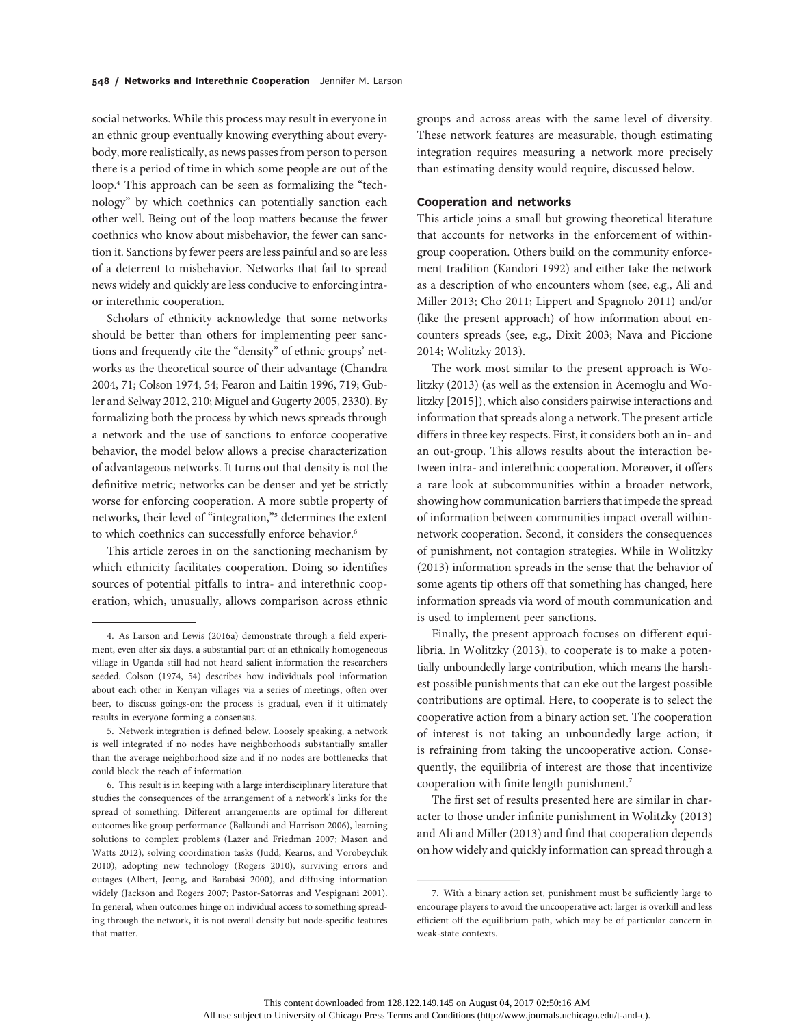social networks. While this process may result in everyone in an ethnic group eventually knowing everything about everybody, more realistically, as news passes from person to person there is a period of time in which some people are out of the loop.4 This approach can be seen as formalizing the "technology" by which coethnics can potentially sanction each other well. Being out of the loop matters because the fewer coethnics who know about misbehavior, the fewer can sanction it. Sanctions by fewer peers are less painful and so are less of a deterrent to misbehavior. Networks that fail to spread news widely and quickly are less conducive to enforcing intraor interethnic cooperation.

Scholars of ethnicity acknowledge that some networks should be better than others for implementing peer sanctions and frequently cite the "density" of ethnic groups' networks as the theoretical source of their advantage (Chandra 2004, 71; Colson 1974, 54; Fearon and Laitin 1996, 719; Gubler and Selway 2012, 210; Miguel and Gugerty 2005, 2330). By formalizing both the process by which news spreads through a network and the use of sanctions to enforce cooperative behavior, the model below allows a precise characterization of advantageous networks. It turns out that density is not the definitive metric; networks can be denser and yet be strictly worse for enforcing cooperation. A more subtle property of networks, their level of "integration,"<sup>5</sup> determines the extent to which coethnics can successfully enforce behavior.<sup>6</sup>

This article zeroes in on the sanctioning mechanism by which ethnicity facilitates cooperation. Doing so identifies sources of potential pitfalls to intra- and interethnic cooperation, which, unusually, allows comparison across ethnic

6. This result is in keeping with a large interdisciplinary literature that studies the consequences of the arrangement of a network's links for the spread of something. Different arrangements are optimal for different outcomes like group performance (Balkundi and Harrison 2006), learning solutions to complex problems (Lazer and Friedman 2007; Mason and Watts 2012), solving coordination tasks (Judd, Kearns, and Vorobeychik 2010), adopting new technology (Rogers 2010), surviving errors and outages (Albert, Jeong, and Barabási 2000), and diffusing information widely (Jackson and Rogers 2007; Pastor-Satorras and Vespignani 2001). In general, when outcomes hinge on individual access to something spreading through the network, it is not overall density but node-specific features that matter.

groups and across areas with the same level of diversity. These network features are measurable, though estimating integration requires measuring a network more precisely than estimating density would require, discussed below.

#### Cooperation and networks

This article joins a small but growing theoretical literature that accounts for networks in the enforcement of withingroup cooperation. Others build on the community enforcement tradition (Kandori 1992) and either take the network as a description of who encounters whom (see, e.g., Ali and Miller 2013; Cho 2011; Lippert and Spagnolo 2011) and/or (like the present approach) of how information about encounters spreads (see, e.g., Dixit 2003; Nava and Piccione 2014; Wolitzky 2013).

The work most similar to the present approach is Wolitzky (2013) (as well as the extension in Acemoglu and Wolitzky [2015]), which also considers pairwise interactions and information that spreads along a network. The present article differs in three key respects. First, it considers both an in- and an out-group. This allows results about the interaction between intra- and interethnic cooperation. Moreover, it offers a rare look at subcommunities within a broader network, showing how communication barriers that impede the spread of information between communities impact overall withinnetwork cooperation. Second, it considers the consequences of punishment, not contagion strategies. While in Wolitzky (2013) information spreads in the sense that the behavior of some agents tip others off that something has changed, here information spreads via word of mouth communication and is used to implement peer sanctions.

Finally, the present approach focuses on different equilibria. In Wolitzky (2013), to cooperate is to make a potentially unboundedly large contribution, which means the harshest possible punishments that can eke out the largest possible contributions are optimal. Here, to cooperate is to select the cooperative action from a binary action set. The cooperation of interest is not taking an unboundedly large action; it is refraining from taking the uncooperative action. Consequently, the equilibria of interest are those that incentivize cooperation with finite length punishment.7

The first set of results presented here are similar in character to those under infinite punishment in Wolitzky (2013) and Ali and Miller (2013) and find that cooperation depends on how widely and quickly information can spread through a

<sup>4.</sup> As Larson and Lewis (2016a) demonstrate through a field experiment, even after six days, a substantial part of an ethnically homogeneous village in Uganda still had not heard salient information the researchers seeded. Colson (1974, 54) describes how individuals pool information about each other in Kenyan villages via a series of meetings, often over beer, to discuss goings-on: the process is gradual, even if it ultimately results in everyone forming a consensus.

<sup>5.</sup> Network integration is defined below. Loosely speaking, a network is well integrated if no nodes have neighborhoods substantially smaller than the average neighborhood size and if no nodes are bottlenecks that could block the reach of information.

<sup>7.</sup> With a binary action set, punishment must be sufficiently large to encourage players to avoid the uncooperative act; larger is overkill and less efficient off the equilibrium path, which may be of particular concern in weak-state contexts.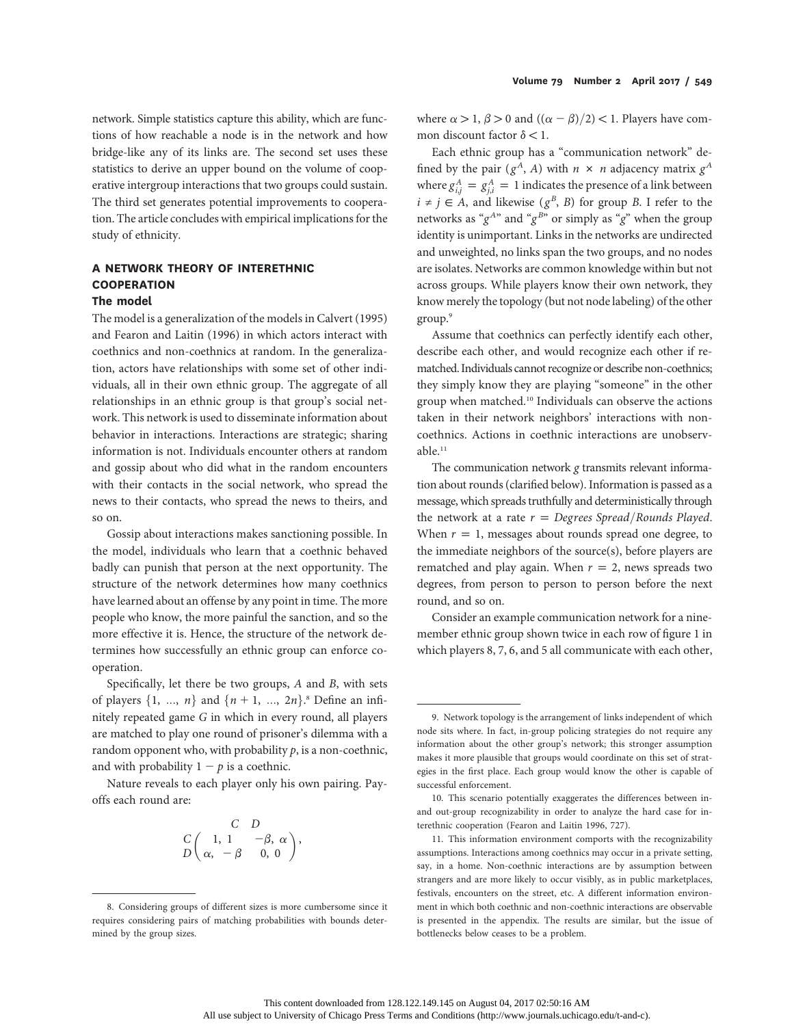network. Simple statistics capture this ability, which are functions of how reachable a node is in the network and how bridge-like any of its links are. The second set uses these statistics to derive an upper bound on the volume of cooperative intergroup interactions that two groups could sustain. The third set generates potential improvements to cooperation. The article concludes with empirical implications for the study of ethnicity.

# A NETWORK THEORY OF INTERETHNIC **COOPERATION**

## The model

The model is a generalization of the models in Calvert (1995) and Fearon and Laitin (1996) in which actors interact with coethnics and non-coethnics at random. In the generalization, actors have relationships with some set of other individuals, all in their own ethnic group. The aggregate of all relationships in an ethnic group is that group's social network. This network is used to disseminate information about behavior in interactions. Interactions are strategic; sharing information is not. Individuals encounter others at random and gossip about who did what in the random encounters with their contacts in the social network, who spread the news to their contacts, who spread the news to theirs, and so on.

Gossip about interactions makes sanctioning possible. In the model, individuals who learn that a coethnic behaved badly can punish that person at the next opportunity. The structure of the network determines how many coethnics have learned about an offense by any point in time. The more people who know, the more painful the sanction, and so the more effective it is. Hence, the structure of the network determines how successfully an ethnic group can enforce cooperation.

Specifically, let there be two groups, A and B, with sets of players  $\{1, ..., n\}$  and  $\{n+1, ..., 2n\}$ .<sup>8</sup> Define an infi-<br>nitely appeared game *C* in which in gyour gaund, all players nitely repeated game G in which in every round, all players are matched to play one round of prisoner's dilemma with a random opponent who, with probability  $p$ , is a non-coethnic, and with probability  $1 - p$  is a coethnic.

Nature reveals to each player only his own pairing. Payoffs each round are:

$$
\begin{array}{cc} & C & D \\ C & 1, 1 & -\beta, \alpha \\ D & \alpha, \ -\beta & 0, 0 \end{array},
$$

where  $\alpha > 1$ ,  $\beta > 0$  and  $((\alpha - \beta)/2) < 1$ . Players have common discount factor  $\delta$  < 1.

Each ethnic group has a "communication network" defined by the pair  $(g<sup>A</sup>, A)$  with  $n \times n$  adjacency matrix  $g<sup>A</sup>$ where  $g_{i,j}^A = g_{j,i}^A = 1$  indicates the presence of a link between  $i \neq j \in A$ , and likewise  $(g^B, B)$  for group B. I refer to the networks as " $g^{A}$ " and " $g^{B}$ " or simply as " $g$ " when the group identity is unimportant. Links in the networks are undirected and unweighted, no links span the two groups, and no nodes are isolates. Networks are common knowledge within but not across groups. While players know their own network, they know merely the topology (but not node labeling) of the other group.9

Assume that coethnics can perfectly identify each other, describe each other, and would recognize each other if rematched. Individuals cannot recognize or describe non-coethnics; they simply know they are playing "someone" in the other group when matched.10 Individuals can observe the actions taken in their network neighbors' interactions with noncoethnics. Actions in coethnic interactions are unobserv $able.<sup>11</sup>$ 

The communication network g transmits relevant information about rounds (clarified below). Information is passed as a message, which spreads truthfully and deterministically through the network at a rate  $r =$  Degrees Spread/Rounds Played. When  $r = 1$ , messages about rounds spread one degree, to the immediate neighbors of the source(s), before players are rematched and play again. When  $r = 2$ , news spreads two degrees, from person to person to person before the next round, and so on.

Consider an example communication network for a ninemember ethnic group shown twice in each row of figure 1 in which players 8, 7, 6, and 5 all communicate with each other,

<sup>8.</sup> Considering groups of different sizes is more cumbersome since it requires considering pairs of matching probabilities with bounds determined by the group sizes.

<sup>9.</sup> Network topology is the arrangement of links independent of which node sits where. In fact, in-group policing strategies do not require any information about the other group's network; this stronger assumption makes it more plausible that groups would coordinate on this set of strategies in the first place. Each group would know the other is capable of successful enforcement.

<sup>10.</sup> This scenario potentially exaggerates the differences between inand out-group recognizability in order to analyze the hard case for interethnic cooperation (Fearon and Laitin 1996, 727).

<sup>11.</sup> This information environment comports with the recognizability assumptions. Interactions among coethnics may occur in a private setting, say, in a home. Non-coethnic interactions are by assumption between strangers and are more likely to occur visibly, as in public marketplaces, festivals, encounters on the street, etc. A different information environment in which both coethnic and non-coethnic interactions are observable is presented in the appendix. The results are similar, but the issue of bottlenecks below ceases to be a problem.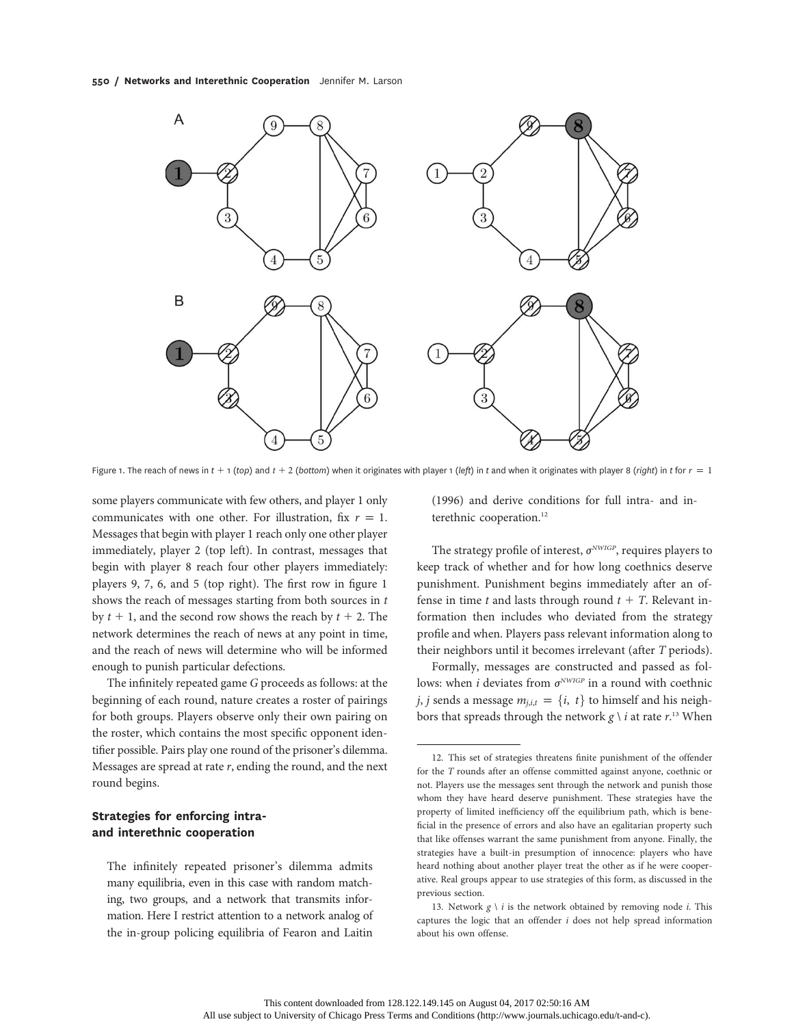550 / Networks and Interethnic Cooperation Jennifer M. Larson



Figure 1. The reach of news in  $t + 1$  (top) and  $t + 2$  (bottom) when it originates with player 1 (left) in t and when it originates with player 8 (right) in t for  $r = 1$ 

some players communicate with few others, and player 1 only communicates with one other. For illustration, fix  $r = 1$ . Messages that begin with player 1 reach only one other player immediately, player 2 (top left). In contrast, messages that begin with player 8 reach four other players immediately: players 9, 7, 6, and 5 (top right). The first row in figure 1 shows the reach of messages starting from both sources in t by  $t + 1$ , and the second row shows the reach by  $t + 2$ . The network determines the reach of news at any point in time, and the reach of news will determine who will be informed enough to punish particular defections.

The infinitely repeated game G proceeds as follows: at the beginning of each round, nature creates a roster of pairings for both groups. Players observe only their own pairing on the roster, which contains the most specific opponent identifier possible. Pairs play one round of the prisoner's dilemma. Messages are spread at rate  $r$ , ending the round, and the next round begins.

# Strategies for enforcing intraand interethnic cooperation

The infinitely repeated prisoner's dilemma admits many equilibria, even in this case with random matching, two groups, and a network that transmits information. Here I restrict attention to a network analog of the in-group policing equilibria of Fearon and Laitin

(1996) and derive conditions for full intra- and interethnic cooperation.<sup>12</sup>

The strategy profile of interest,  $\sigma^{NWIGP}$ , requires players to keep track of whether and for how long coethnics deserve punishment. Punishment begins immediately after an offense in time t and lasts through round  $t + T$ . Relevant information then includes who deviated from the strategy profile and when. Players pass relevant information along to their neighbors until it becomes irrelevant (after T periods).

Formally, messages are constructed and passed as follows: when *i* deviates from  $\sigma^{NWIGP}$  in a round with coethnic j, j sends a message  $m_{i,i,t} = \{i, t\}$  to himself and his neighbors that spreads through the network  $g \setminus i$  at rate  $r$ .<sup>13</sup> When

<sup>12.</sup> This set of strategies threatens finite punishment of the offender for the T rounds after an offense committed against anyone, coethnic or not. Players use the messages sent through the network and punish those whom they have heard deserve punishment. These strategies have the property of limited inefficiency off the equilibrium path, which is beneficial in the presence of errors and also have an egalitarian property such that like offenses warrant the same punishment from anyone. Finally, the strategies have a built-in presumption of innocence: players who have heard nothing about another player treat the other as if he were cooperative. Real groups appear to use strategies of this form, as discussed in the previous section.

<sup>13.</sup> Network  $g \setminus i$  is the network obtained by removing node *i*. This captures the logic that an offender i does not help spread information about his own offense.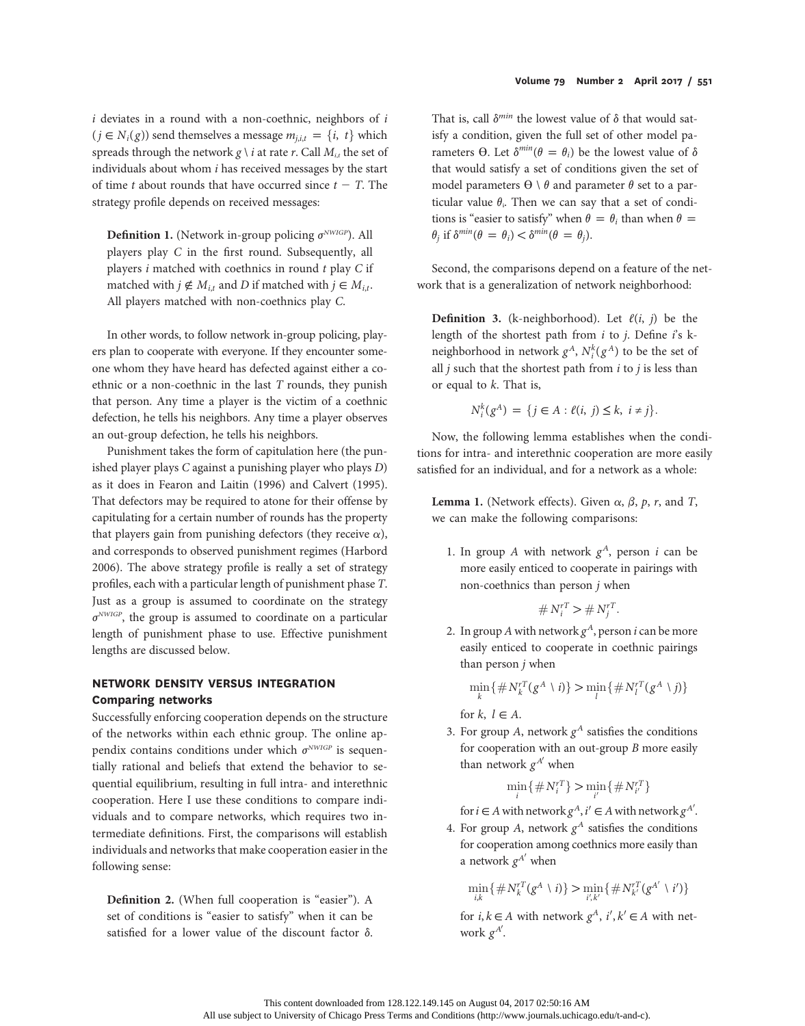$i$  deviates in a round with a non-coethnic, neighbors of  $i$  $(j \in N_i(g))$  send themselves a message  $m_{i,i,t} = \{i, t\}$  which spreads through the network  $g \setminus i$  at rate r. Call  $M_{i,t}$  the set of individuals about whom  $i$  has received messages by the start of time t about rounds that have occurred since  $t - T$ . The strategy profile depends on received messages:

**Definition 1.** (Network in-group policing  $\sigma^{NWIGP}$ ). All players play C in the first round. Subsequently, all players  $i$  matched with coethnics in round  $t$  play  $C$  if matched with  $j \notin M_{i,t}$  and D if matched with  $j \in M_{i,t}$ . All players matched with non-coethnics play C.

In other words, to follow network in-group policing, players plan to cooperate with everyone. If they encounter someone whom they have heard has defected against either a coethnic or a non-coethnic in the last  $T$  rounds, they punish that person. Any time a player is the victim of a coethnic defection, he tells his neighbors. Any time a player observes an out-group defection, he tells his neighbors.

Punishment takes the form of capitulation here (the punished player plays C against a punishing player who plays D) as it does in Fearon and Laitin (1996) and Calvert (1995). That defectors may be required to atone for their offense by capitulating for a certain number of rounds has the property that players gain from punishing defectors (they receive  $\alpha$ ), and corresponds to observed punishment regimes (Harbord 2006). The above strategy profile is really a set of strategy profiles, each with a particular length of punishment phase T. Just as a group is assumed to coordinate on the strategy  $\sigma^{NWIGP}$ , the group is assumed to coordinate on a particular length of punishment phase to use. Effective punishment lengths are discussed below.

# NETWORK DENSITY VERSUS INTEGRATION Comparing networks

Successfully enforcing cooperation depends on the structure of the networks within each ethnic group. The online appendix contains conditions under which  $\sigma^{NWIGP}$  is sequentially rational and beliefs that extend the behavior to sequential equilibrium, resulting in full intra- and interethnic cooperation. Here I use these conditions to compare individuals and to compare networks, which requires two intermediate definitions. First, the comparisons will establish individuals and networks that make cooperation easier in the following sense:

Definition 2. (When full cooperation is "easier"). A set of conditions is "easier to satisfy" when it can be satisfied for a lower value of the discount factor  $\delta$ . That is, call  $\delta^{min}$  the lowest value of  $\delta$  that would satisfy a condition, given the full set of other model parameters  $\Theta$ . Let  $\delta^{min}(\theta = \theta_i)$  be the lowest value of  $\delta$ that would satisfy a set of conditions given the set of model parameters  $\Theta \setminus \theta$  and parameter  $\theta$  set to a particular value  $\theta_i$ . Then we can say that a set of conditions is "easier to satisfy" when  $\theta = \theta_i$  than when  $\theta =$  $\theta_i$  if  $\delta^{min}(\theta = \theta_i) < \delta^{min}(\theta = \theta_i)$ .

Second, the comparisons depend on a feature of the network that is a generalization of network neighborhood:

**Definition 3.** (k-neighborhood). Let  $\ell(i, j)$  be the length of the shortest path from  $i$  to  $j$ . Define  $i$ 's kneighborhood in network  $g^A$ ,  $N_i^k(g^A)$  to be the set of all  $j$  such that the shortest path from  $i$  to  $j$  is less than or equal to  $k$ . That is,

$$
N_i^k(g^A) = \{ j \in A : \ell(i, j) \leq k, i \neq j \}.
$$

Now, the following lemma establishes when the conditions for intra- and interethnic cooperation are more easily satisfied for an individual, and for a network as a whole:

**Lemma 1.** (Network effects). Given  $\alpha$ ,  $\beta$ ,  $p$ ,  $r$ , and T, we can make the following comparisons:

1. In group A with network  $g<sup>A</sup>$ , person *i* can be more easily enticed to cooperate in pairings with non-coethnics than person j when

$$
\# N_i^{rT} > \# N_j^{rT}.
$$

2. In group A with network  $g<sup>A</sup>$ , person *i* can be more easily enticed to cooperate in coethnic pairings than person j when

 $\min_{k} {\{\#N_k^{rT}(g^A \setminus i)\}} > \min_{l} {\{\#N_l^{rT}(g^A \setminus j)\}}$ 

for  $k, l \in A$ .

3. For group A, network  $g<sup>A</sup>$  satisfies the conditions for cooperation with an out-group B more easily than network  $g^{A'}$  when

$$
\min_i \{ \# N_i^{rT} \} > \min_{i'} \{ \# N_{i'}^{rT} \}
$$

for  $i \in A$  with network  $g^A$ ,  $i' \in A$  with network  $g^{A'}$ .

4. For group A, network  $g<sup>A</sup>$  satisfies the conditions for cooperation among coethnics more easily than a network  $g^{A'}$  when

 $\min_{i,k} \{ \# N_k^{rT}(g^A \setminus i) \} > \min_{i',k'} \{ \# N_{k'}^{rT}(g^{A'} \setminus i') \}$ 

for  $i, k \in A$  with network  $g^A$ ,  $i', k' \in A$  with network  $g^{A'}$ .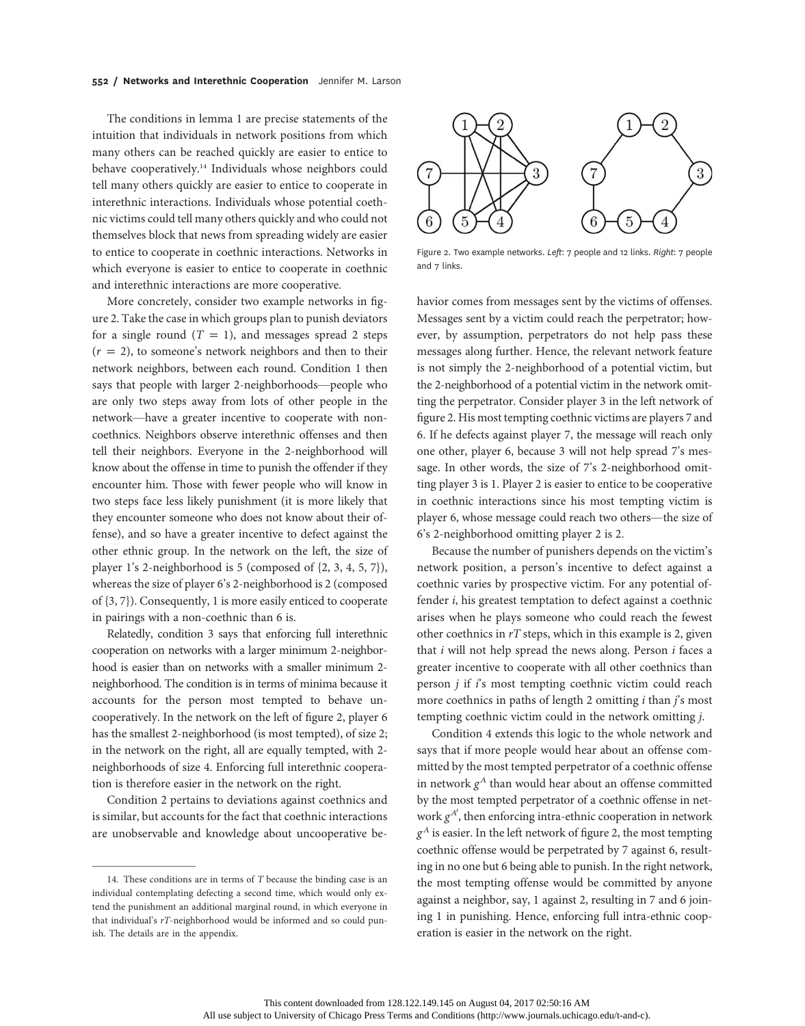#### 552 / Networks and Interethnic Cooperation Jennifer M. Larson

The conditions in lemma 1 are precise statements of the intuition that individuals in network positions from which many others can be reached quickly are easier to entice to behave cooperatively.<sup>14</sup> Individuals whose neighbors could tell many others quickly are easier to entice to cooperate in interethnic interactions. Individuals whose potential coethnic victims could tell many others quickly and who could not themselves block that news from spreading widely are easier to entice to cooperate in coethnic interactions. Networks in which everyone is easier to entice to cooperate in coethnic and interethnic interactions are more cooperative.

More concretely, consider two example networks in figure 2. Take the case in which groups plan to punish deviators for a single round  $(T = 1)$ , and messages spread 2 steps  $(r = 2)$ , to someone's network neighbors and then to their network neighbors, between each round. Condition 1 then says that people with larger 2-neighborhoods—people who are only two steps away from lots of other people in the network—have a greater incentive to cooperate with noncoethnics. Neighbors observe interethnic offenses and then tell their neighbors. Everyone in the 2-neighborhood will know about the offense in time to punish the offender if they encounter him. Those with fewer people who will know in two steps face less likely punishment (it is more likely that they encounter someone who does not know about their offense), and so have a greater incentive to defect against the other ethnic group. In the network on the left, the size of player 1's 2-neighborhood is 5 (composed of {2, 3, 4, 5, 7}), whereas the size of player 6's 2-neighborhood is 2 (composed of {3, 7}). Consequently, 1 is more easily enticed to cooperate in pairings with a non-coethnic than 6 is.

Relatedly, condition 3 says that enforcing full interethnic cooperation on networks with a larger minimum 2-neighborhood is easier than on networks with a smaller minimum 2 neighborhood. The condition is in terms of minima because it accounts for the person most tempted to behave uncooperatively. In the network on the left of figure 2, player 6 has the smallest 2-neighborhood (is most tempted), of size 2; in the network on the right, all are equally tempted, with 2 neighborhoods of size 4. Enforcing full interethnic cooperation is therefore easier in the network on the right.

Condition 2 pertains to deviations against coethnics and is similar, but accounts for the fact that coethnic interactions are unobservable and knowledge about uncooperative be-



Figure 2. Two example networks. Left: 7 people and 12 links. Right: 7 people and 7 links.

havior comes from messages sent by the victims of offenses. Messages sent by a victim could reach the perpetrator; however, by assumption, perpetrators do not help pass these messages along further. Hence, the relevant network feature is not simply the 2-neighborhood of a potential victim, but the 2-neighborhood of a potential victim in the network omitting the perpetrator. Consider player 3 in the left network of figure 2. His most tempting coethnic victims are players 7 and 6. If he defects against player 7, the message will reach only one other, player 6, because 3 will not help spread 7's message. In other words, the size of 7's 2-neighborhood omitting player 3 is 1. Player 2 is easier to entice to be cooperative in coethnic interactions since his most tempting victim is player 6, whose message could reach two others—the size of 6's 2-neighborhood omitting player 2 is 2.

Because the number of punishers depends on the victim's network position, a person's incentive to defect against a coethnic varies by prospective victim. For any potential offender i, his greatest temptation to defect against a coethnic arises when he plays someone who could reach the fewest other coethnics in  $rT$  steps, which in this example is 2, given that  $i$  will not help spread the news along. Person  $i$  faces a greater incentive to cooperate with all other coethnics than person  $j$  if  $i$ 's most tempting coethnic victim could reach more coethnics in paths of length 2 omitting  $i$  than  $j$ 's most tempting coethnic victim could in the network omitting j.

Condition 4 extends this logic to the whole network and says that if more people would hear about an offense committed by the most tempted perpetrator of a coethnic offense in network  $g<sup>A</sup>$  than would hear about an offense committed by the most tempted perpetrator of a coethnic offense in network  $g^{A'}$ , then enforcing intra-ethnic cooperation in network  $g<sup>A</sup>$  is easier. In the left network of figure 2, the most tempting coethnic offense would be perpetrated by 7 against 6, resulting in no one but 6 being able to punish. In the right network, the most tempting offense would be committed by anyone against a neighbor, say, 1 against 2, resulting in 7 and 6 joining 1 in punishing. Hence, enforcing full intra-ethnic cooperation is easier in the network on the right.

<sup>14.</sup> These conditions are in terms of  $T$  because the binding case is an individual contemplating defecting a second time, which would only extend the punishment an additional marginal round, in which everyone in that individual's rT-neighborhood would be informed and so could punish. The details are in the appendix.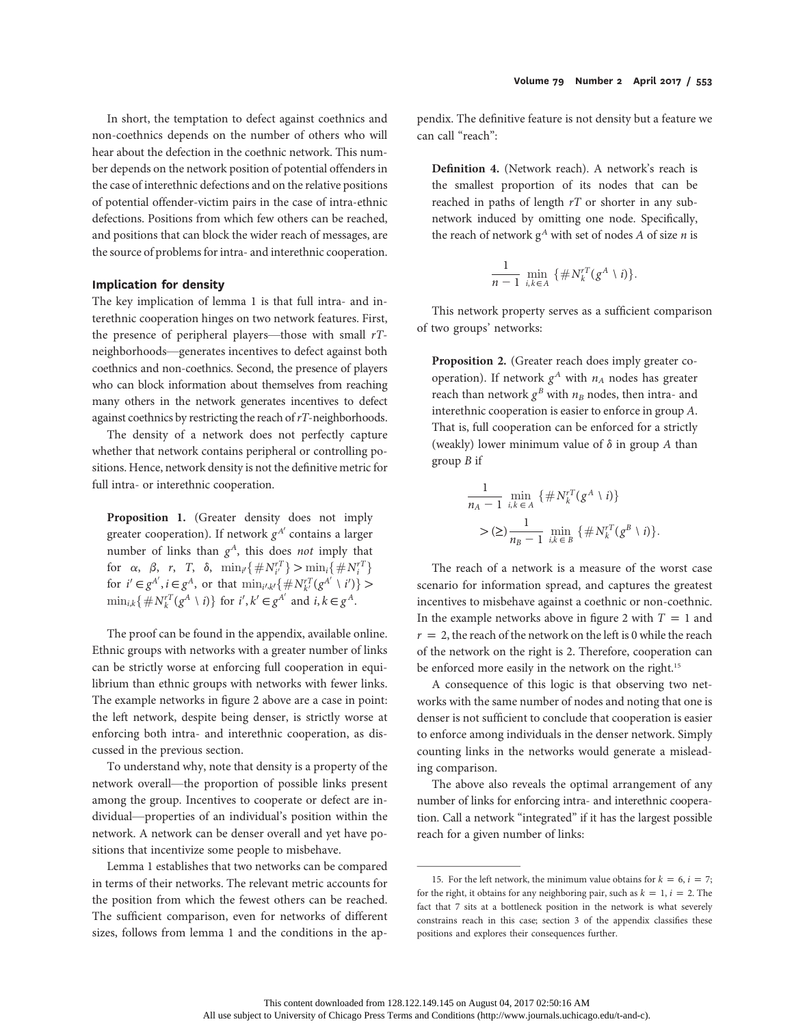In short, the temptation to defect against coethnics and non-coethnics depends on the number of others who will hear about the defection in the coethnic network. This number depends on the network position of potential offenders in the case of interethnic defections and on the relative positions of potential offender-victim pairs in the case of intra-ethnic defections. Positions from which few others can be reached, and positions that can block the wider reach of messages, are the source of problems for intra- and interethnic cooperation.

#### Implication for density

The key implication of lemma 1 is that full intra- and interethnic cooperation hinges on two network features. First, the presence of peripheral players—those with small  $rT$ neighborhoods—generates incentives to defect against both coethnics and non-coethnics. Second, the presence of players who can block information about themselves from reaching many others in the network generates incentives to defect against coethnics by restricting the reach of  $rT$ -neighborhoods.

The density of a network does not perfectly capture whether that network contains peripheral or controlling positions. Hence, network density is not the definitive metric for full intra- or interethnic cooperation.

Proposition 1. (Greater density does not imply greater cooperation). If network  $g^{A'}$  contains a larger number of links than  $g<sup>A</sup>$ , this does not imply that for  $\alpha$ ,  $\beta$ , r, T,  $\delta$ ,  $\min_{l'} {\{\#N_{l'}^{rT}\}} > \min_{i} {\{\#N_{l'}^{rT}\}}$ <br>for  $i' \in \alpha_l^{A'}$ , i.e.  $\alpha_l^{A}$  are that  $\min_{i} {\{\#N_{l'}^{rT}(\alpha_l^{A'}\)} : i' \}}$ for  $i' \in g^{A'}$ ,  $i \in g^{A}$ , or that  $\min_{i',k'} \{\# N_{k'}^{T}(g^{A'} \setminus i')\}$ <br>  $\min_{i',k'} \{\# N_{k'}^{T}(g^{A'} \setminus i')\}$  $\min_{i,k} \{ \# N_k^{rT}(g^A \setminus i) \}$  for  $i', k' \in g^{A'}$  and  $i, k \in g^A$ .

The proof can be found in the appendix, available online. Ethnic groups with networks with a greater number of links can be strictly worse at enforcing full cooperation in equilibrium than ethnic groups with networks with fewer links. The example networks in figure 2 above are a case in point: the left network, despite being denser, is strictly worse at enforcing both intra- and interethnic cooperation, as discussed in the previous section.

To understand why, note that density is a property of the network overall—the proportion of possible links present among the group. Incentives to cooperate or defect are individual—properties of an individual's position within the network. A network can be denser overall and yet have positions that incentivize some people to misbehave.

Lemma 1 establishes that two networks can be compared in terms of their networks. The relevant metric accounts for the position from which the fewest others can be reached. The sufficient comparison, even for networks of different sizes, follows from lemma 1 and the conditions in the ap-

pendix. The definitive feature is not density but a feature we can call "reach":

Definition 4. (Network reach). A network's reach is the smallest proportion of its nodes that can be reached in paths of length  $rT$  or shorter in any subnetwork induced by omitting one node. Specifically, the reach of network  $g^A$  with set of nodes A of size n is

$$
\frac{1}{n-1}\min_{i,k\in A}\left\{\#N_k^{rT}(g^A\setminus i)\right\}.
$$

This network property serves as a sufficient comparison of two groups' networks:

Proposition 2. (Greater reach does imply greater cooperation). If network  $g^A$  with  $n_A$  nodes has greater reach than network  $g^B$  with  $n_B$  nodes, then intra- and interethnic cooperation is easier to enforce in group A. That is, full cooperation can be enforced for a strictly (weakly) lower minimum value of  $\delta$  in group A than group  $B$  if

$$
\frac{1}{n_A - 1} \min_{i,k \in A} \{ \# N_k^{rT}(g^A \setminus i) \}
$$
  
>  $(\ge) \frac{1}{n_B - 1} \min_{i,k \in B} \{ \# N_k^{rT}(g^B \setminus i) \}.$ 

The reach of a network is a measure of the worst case scenario for information spread, and captures the greatest incentives to misbehave against a coethnic or non-coethnic. In the example networks above in figure 2 with  $T = 1$  and  $r = 2$ , the reach of the network on the left is 0 while the reach of the network on the right is 2. Therefore, cooperation can be enforced more easily in the network on the right.<sup>15</sup>

A consequence of this logic is that observing two networks with the same number of nodes and noting that one is denser is not sufficient to conclude that cooperation is easier to enforce among individuals in the denser network. Simply counting links in the networks would generate a misleading comparison.

The above also reveals the optimal arrangement of any number of links for enforcing intra- and interethnic cooperation. Call a network "integrated" if it has the largest possible reach for a given number of links:

<sup>15.</sup> For the left network, the minimum value obtains for  $k = 6$ ,  $i = 7$ ; for the right, it obtains for any neighboring pair, such as  $k = 1$ ,  $i = 2$ . The fact that 7 sits at a bottleneck position in the network is what severely constrains reach in this case; section 3 of the appendix classifies these positions and explores their consequences further.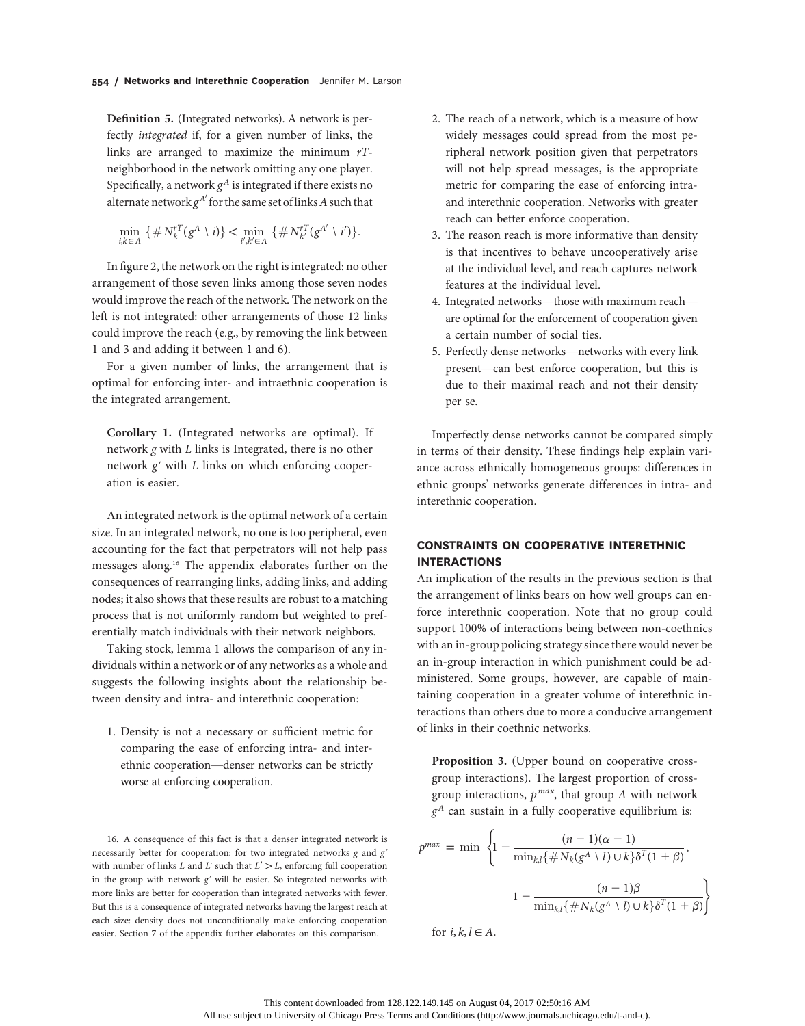Definition 5. (Integrated networks). A network is perfectly integrated if, for a given number of links, the links are arranged to maximize the minimum  $rT$ neighborhood in the network omitting any one player. Specifically, a network  $g^A$  is integrated if there exists no alternate network  $g^{A'}$  for the same set of links  $A$  such that

 $\min_{i,k\in A} \{ \# N_k^{rT}(g^A \setminus i) \} < \min_{i',k'\in A} \{ \# N_{k'}^{rT}(g^{A'} \setminus i') \}.$ 

In figure 2, the network on the right is integrated: no other arrangement of those seven links among those seven nodes would improve the reach of the network. The network on the left is not integrated: other arrangements of those 12 links could improve the reach (e.g., by removing the link between 1 and 3 and adding it between 1 and 6).

For a given number of links, the arrangement that is optimal for enforcing inter- and intraethnic cooperation is the integrated arrangement.

Corollary 1. (Integrated networks are optimal). If network g with L links is Integrated, there is no other network  $g'$  with L links on which enforcing cooperation is easier.

An integrated network is the optimal network of a certain size. In an integrated network, no one is too peripheral, even accounting for the fact that perpetrators will not help pass messages along.16 The appendix elaborates further on the consequences of rearranging links, adding links, and adding nodes; it also shows that these results are robust to a matching process that is not uniformly random but weighted to preferentially match individuals with their network neighbors.

Taking stock, lemma 1 allows the comparison of any individuals within a network or of any networks as a whole and suggests the following insights about the relationship between density and intra- and interethnic cooperation:

1. Density is not a necessary or sufficient metric for comparing the ease of enforcing intra- and interethnic cooperation—denser networks can be strictly worse at enforcing cooperation.

- 2. The reach of a network, which is a measure of how widely messages could spread from the most peripheral network position given that perpetrators will not help spread messages, is the appropriate metric for comparing the ease of enforcing intraand interethnic cooperation. Networks with greater reach can better enforce cooperation.
- 3. The reason reach is more informative than density is that incentives to behave uncooperatively arise at the individual level, and reach captures network features at the individual level.
- 4. Integrated networks—those with maximum reach are optimal for the enforcement of cooperation given a certain number of social ties.
- 5. Perfectly dense networks—networks with every link present—can best enforce cooperation, but this is due to their maximal reach and not their density per se.

Imperfectly dense networks cannot be compared simply in terms of their density. These findings help explain variance across ethnically homogeneous groups: differences in ethnic groups' networks generate differences in intra- and interethnic cooperation.

# CONSTRAINTS ON COOPERATIVE INTERETHNIC INTERACTIONS

An implication of the results in the previous section is that the arrangement of links bears on how well groups can enforce interethnic cooperation. Note that no group could support 100% of interactions being between non-coethnics with an in-group policing strategy since there would never be an in-group interaction in which punishment could be administered. Some groups, however, are capable of maintaining cooperation in a greater volume of interethnic interactions than others due to more a conducive arrangement of links in their coethnic networks.

Proposition 3. (Upper bound on cooperative crossgroup interactions). The largest proportion of crossgroup interactions,  $p^{max}$ , that group A with network  $g<sup>A</sup>$  can sustain in a fully cooperative equilibrium is:

$$
p^{max} = \min \left\{ 1 - \frac{(n-1)(\alpha - 1)}{\min_{k,l} \{ \# N_k(g^A \setminus l) \cup k \} \delta^T(1 + \beta)}, \atop 1 - \frac{(n-1)\beta}{\min_{k,l} \{ \# N_k(g^A \setminus l) \cup k \} \delta^T(1 + \beta)} \right\}
$$

for  $i, k, l \in A$ .

<sup>16.</sup> A consequence of this fact is that a denser integrated network is necessarily better for cooperation: for two integrated networks  $g$  and  $g'$ with number of links L and L' such that  $L' > L$ , enforcing full cooperation in the group with network  $g'$  will be easier. So integrated networks with more links are better for cooperation than integrated networks with fewer. But this is a consequence of integrated networks having the largest reach at each size: density does not unconditionally make enforcing cooperation easier. Section 7 of the appendix further elaborates on this comparison.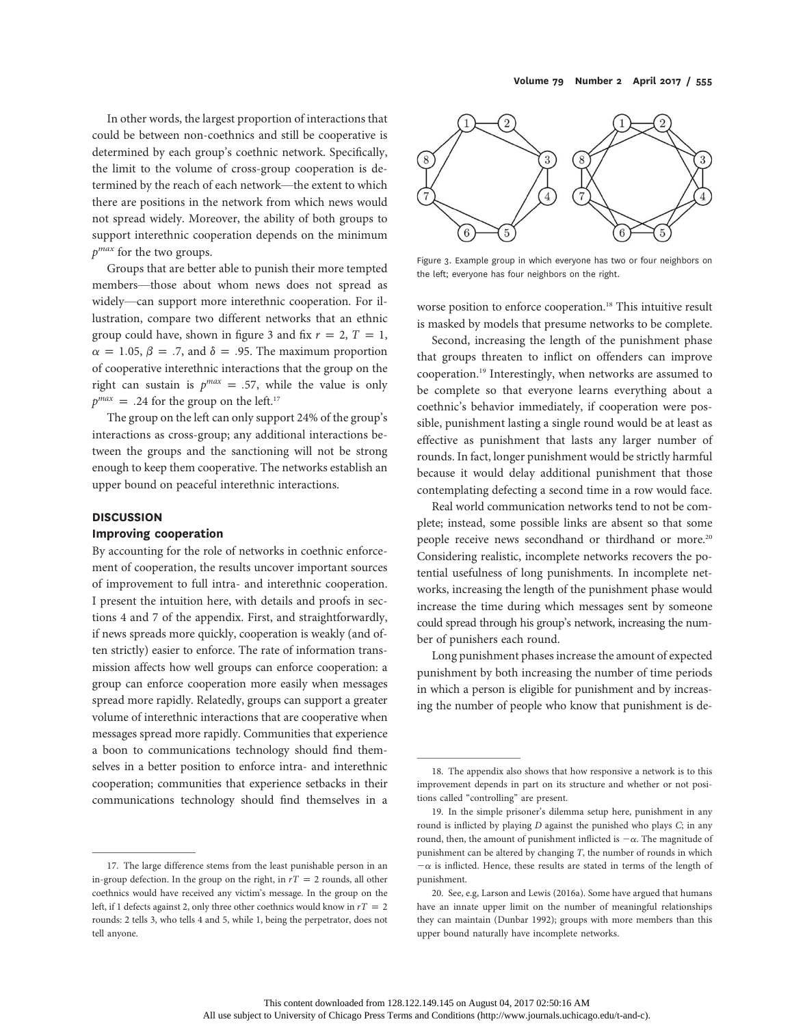In other words, the largest proportion of interactions that could be between non-coethnics and still be cooperative is determined by each group's coethnic network. Specifically, the limit to the volume of cross-group cooperation is determined by the reach of each network—the extent to which there are positions in the network from which news would not spread widely. Moreover, the ability of both groups to support interethnic cooperation depends on the minimum  $p^{max}$  for the two groups.

Groups that are better able to punish their more tempted members—those about whom news does not spread as widely—can support more interethnic cooperation. For illustration, compare two different networks that an ethnic group could have, shown in figure 3 and fix  $r = 2, T = 1$ ,  $\alpha = 1.05$ ,  $\beta = .7$ , and  $\delta = .95$ . The maximum proportion of cooperative interethnic interactions that the group on the right can sustain is  $p^{max} = .57$ , while the value is only  $p^{max} = .24$  for the group on the left.<sup>17</sup>

The group on the left can only support 24% of the group's interactions as cross-group; any additional interactions between the groups and the sanctioning will not be strong enough to keep them cooperative. The networks establish an upper bound on peaceful interethnic interactions.

## **DISCUSSION**

## Improving cooperation

By accounting for the role of networks in coethnic enforcement of cooperation, the results uncover important sources of improvement to full intra- and interethnic cooperation. I present the intuition here, with details and proofs in sections 4 and 7 of the appendix. First, and straightforwardly, if news spreads more quickly, cooperation is weakly (and often strictly) easier to enforce. The rate of information transmission affects how well groups can enforce cooperation: a group can enforce cooperation more easily when messages spread more rapidly. Relatedly, groups can support a greater volume of interethnic interactions that are cooperative when messages spread more rapidly. Communities that experience a boon to communications technology should find themselves in a better position to enforce intra- and interethnic cooperation; communities that experience setbacks in their communications technology should find themselves in a



Figure 3. Example group in which everyone has two or four neighbors on the left; everyone has four neighbors on the right.

worse position to enforce cooperation.<sup>18</sup> This intuitive result is masked by models that presume networks to be complete.

Second, increasing the length of the punishment phase that groups threaten to inflict on offenders can improve cooperation.19 Interestingly, when networks are assumed to be complete so that everyone learns everything about a coethnic's behavior immediately, if cooperation were possible, punishment lasting a single round would be at least as effective as punishment that lasts any larger number of rounds. In fact, longer punishment would be strictly harmful because it would delay additional punishment that those contemplating defecting a second time in a row would face.

Real world communication networks tend to not be complete; instead, some possible links are absent so that some people receive news secondhand or thirdhand or more.<sup>20</sup> Considering realistic, incomplete networks recovers the potential usefulness of long punishments. In incomplete networks, increasing the length of the punishment phase would increase the time during which messages sent by someone could spread through his group's network, increasing the number of punishers each round.

Long punishment phases increase the amount of expected punishment by both increasing the number of time periods in which a person is eligible for punishment and by increasing the number of people who know that punishment is de-

<sup>17.</sup> The large difference stems from the least punishable person in an in-group defection. In the group on the right, in  $rT = 2$  rounds, all other coethnics would have received any victim's message. In the group on the left, if 1 defects against 2, only three other coethnics would know in  $rT = 2$ rounds: 2 tells 3, who tells 4 and 5, while 1, being the perpetrator, does not tell anyone.

<sup>18.</sup> The appendix also shows that how responsive a network is to this improvement depends in part on its structure and whether or not positions called "controlling" are present.

<sup>19.</sup> In the simple prisoner's dilemma setup here, punishment in any round is inflicted by playing D against the punished who plays C; in any round, then, the amount of punishment inflicted is  $-\alpha$ . The magnitude of punishment can be altered by changing T, the number of rounds in which  $-\alpha$  is inflicted. Hence, these results are stated in terms of the length of punishment.

<sup>20.</sup> See, e.g, Larson and Lewis (2016a). Some have argued that humans have an innate upper limit on the number of meaningful relationships they can maintain (Dunbar 1992); groups with more members than this upper bound naturally have incomplete networks.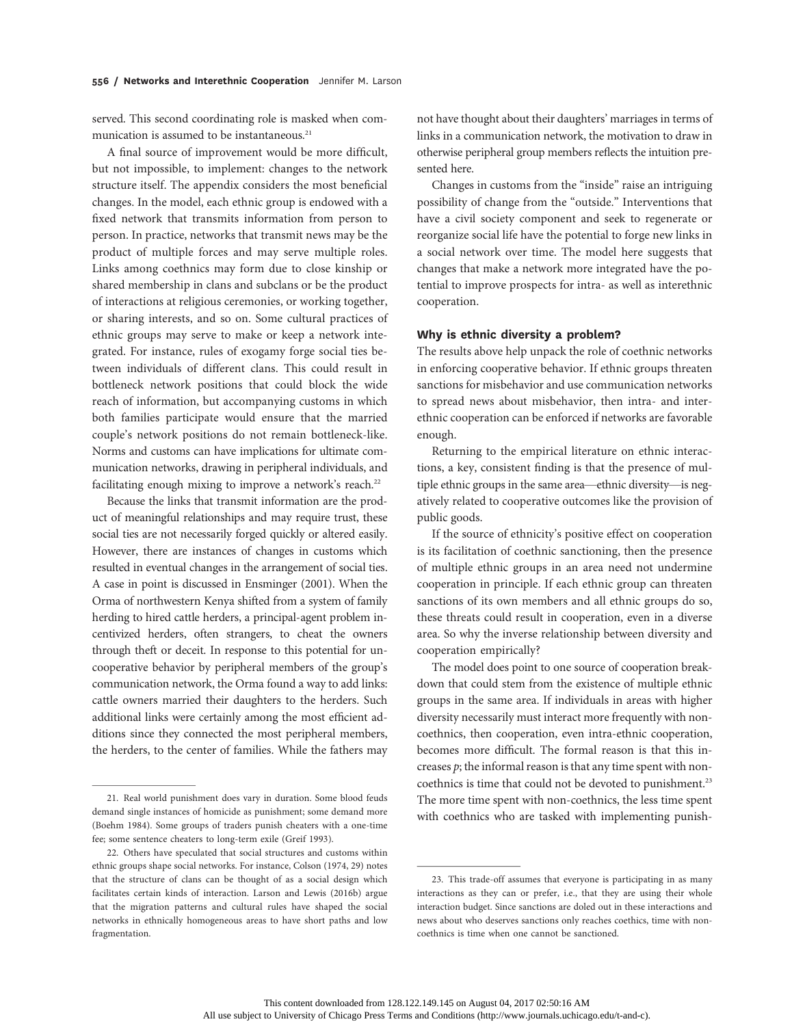served. This second coordinating role is masked when communication is assumed to be instantaneous.<sup>21</sup>

A final source of improvement would be more difficult, but not impossible, to implement: changes to the network structure itself. The appendix considers the most beneficial changes. In the model, each ethnic group is endowed with a fixed network that transmits information from person to person. In practice, networks that transmit news may be the product of multiple forces and may serve multiple roles. Links among coethnics may form due to close kinship or shared membership in clans and subclans or be the product of interactions at religious ceremonies, or working together, or sharing interests, and so on. Some cultural practices of ethnic groups may serve to make or keep a network integrated. For instance, rules of exogamy forge social ties between individuals of different clans. This could result in bottleneck network positions that could block the wide reach of information, but accompanying customs in which both families participate would ensure that the married couple's network positions do not remain bottleneck-like. Norms and customs can have implications for ultimate communication networks, drawing in peripheral individuals, and facilitating enough mixing to improve a network's reach.<sup>22</sup>

Because the links that transmit information are the product of meaningful relationships and may require trust, these social ties are not necessarily forged quickly or altered easily. However, there are instances of changes in customs which resulted in eventual changes in the arrangement of social ties. A case in point is discussed in Ensminger (2001). When the Orma of northwestern Kenya shifted from a system of family herding to hired cattle herders, a principal-agent problem incentivized herders, often strangers, to cheat the owners through theft or deceit. In response to this potential for uncooperative behavior by peripheral members of the group's communication network, the Orma found a way to add links: cattle owners married their daughters to the herders. Such additional links were certainly among the most efficient additions since they connected the most peripheral members, the herders, to the center of families. While the fathers may

not have thought about their daughters' marriages in terms of links in a communication network, the motivation to draw in otherwise peripheral group members reflects the intuition presented here.

Changes in customs from the "inside" raise an intriguing possibility of change from the "outside." Interventions that have a civil society component and seek to regenerate or reorganize social life have the potential to forge new links in a social network over time. The model here suggests that changes that make a network more integrated have the potential to improve prospects for intra- as well as interethnic cooperation.

### Why is ethnic diversity a problem?

The results above help unpack the role of coethnic networks in enforcing cooperative behavior. If ethnic groups threaten sanctions for misbehavior and use communication networks to spread news about misbehavior, then intra- and interethnic cooperation can be enforced if networks are favorable enough.

Returning to the empirical literature on ethnic interactions, a key, consistent finding is that the presence of multiple ethnic groups in the same area—ethnic diversity—is negatively related to cooperative outcomes like the provision of public goods.

If the source of ethnicity's positive effect on cooperation is its facilitation of coethnic sanctioning, then the presence of multiple ethnic groups in an area need not undermine cooperation in principle. If each ethnic group can threaten sanctions of its own members and all ethnic groups do so, these threats could result in cooperation, even in a diverse area. So why the inverse relationship between diversity and cooperation empirically?

The model does point to one source of cooperation breakdown that could stem from the existence of multiple ethnic groups in the same area. If individuals in areas with higher diversity necessarily must interact more frequently with noncoethnics, then cooperation, even intra-ethnic cooperation, becomes more difficult. The formal reason is that this increases  $p$ ; the informal reason is that any time spent with noncoethnics is time that could not be devoted to punishment.<sup>23</sup> The more time spent with non-coethnics, the less time spent with coethnics who are tasked with implementing punish-

<sup>21.</sup> Real world punishment does vary in duration. Some blood feuds demand single instances of homicide as punishment; some demand more (Boehm 1984). Some groups of traders punish cheaters with a one-time fee; some sentence cheaters to long-term exile (Greif 1993).

<sup>22.</sup> Others have speculated that social structures and customs within ethnic groups shape social networks. For instance, Colson (1974, 29) notes that the structure of clans can be thought of as a social design which facilitates certain kinds of interaction. Larson and Lewis (2016b) argue that the migration patterns and cultural rules have shaped the social networks in ethnically homogeneous areas to have short paths and low fragmentation.

<sup>23.</sup> This trade-off assumes that everyone is participating in as many interactions as they can or prefer, i.e., that they are using their whole interaction budget. Since sanctions are doled out in these interactions and news about who deserves sanctions only reaches coethics, time with noncoethnics is time when one cannot be sanctioned.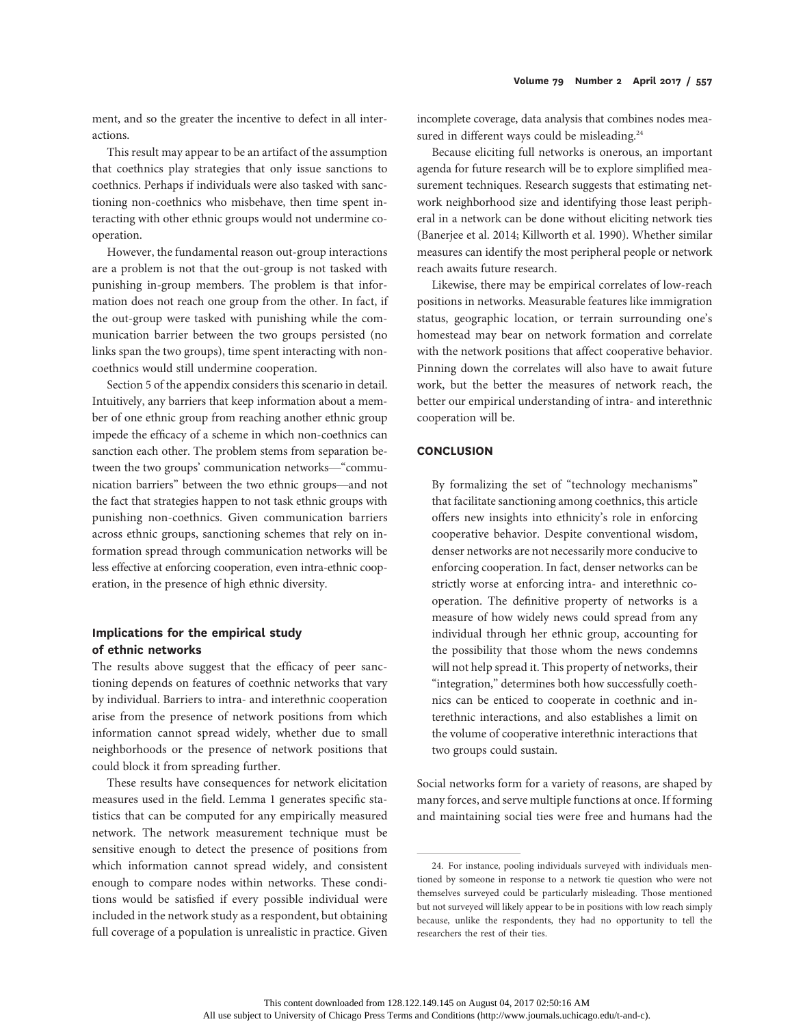ment, and so the greater the incentive to defect in all interactions.

This result may appear to be an artifact of the assumption that coethnics play strategies that only issue sanctions to coethnics. Perhaps if individuals were also tasked with sanctioning non-coethnics who misbehave, then time spent interacting with other ethnic groups would not undermine cooperation.

However, the fundamental reason out-group interactions are a problem is not that the out-group is not tasked with punishing in-group members. The problem is that information does not reach one group from the other. In fact, if the out-group were tasked with punishing while the communication barrier between the two groups persisted (no links span the two groups), time spent interacting with noncoethnics would still undermine cooperation.

Section 5 of the appendix considers this scenario in detail. Intuitively, any barriers that keep information about a member of one ethnic group from reaching another ethnic group impede the efficacy of a scheme in which non-coethnics can sanction each other. The problem stems from separation between the two groups' communication networks—"communication barriers" between the two ethnic groups—and not the fact that strategies happen to not task ethnic groups with punishing non-coethnics. Given communication barriers across ethnic groups, sanctioning schemes that rely on information spread through communication networks will be less effective at enforcing cooperation, even intra-ethnic cooperation, in the presence of high ethnic diversity.

## Implications for the empirical study of ethnic networks

The results above suggest that the efficacy of peer sanctioning depends on features of coethnic networks that vary by individual. Barriers to intra- and interethnic cooperation arise from the presence of network positions from which information cannot spread widely, whether due to small neighborhoods or the presence of network positions that could block it from spreading further.

These results have consequences for network elicitation measures used in the field. Lemma 1 generates specific statistics that can be computed for any empirically measured network. The network measurement technique must be sensitive enough to detect the presence of positions from which information cannot spread widely, and consistent enough to compare nodes within networks. These conditions would be satisfied if every possible individual were included in the network study as a respondent, but obtaining full coverage of a population is unrealistic in practice. Given incomplete coverage, data analysis that combines nodes measured in different ways could be misleading.<sup>24</sup>

Because eliciting full networks is onerous, an important agenda for future research will be to explore simplified measurement techniques. Research suggests that estimating network neighborhood size and identifying those least peripheral in a network can be done without eliciting network ties (Banerjee et al. 2014; Killworth et al. 1990). Whether similar measures can identify the most peripheral people or network reach awaits future research.

Likewise, there may be empirical correlates of low-reach positions in networks. Measurable features like immigration status, geographic location, or terrain surrounding one's homestead may bear on network formation and correlate with the network positions that affect cooperative behavior. Pinning down the correlates will also have to await future work, but the better the measures of network reach, the better our empirical understanding of intra- and interethnic cooperation will be.

### **CONCLUSION**

By formalizing the set of "technology mechanisms" that facilitate sanctioning among coethnics, this article offers new insights into ethnicity's role in enforcing cooperative behavior. Despite conventional wisdom, denser networks are not necessarily more conducive to enforcing cooperation. In fact, denser networks can be strictly worse at enforcing intra- and interethnic cooperation. The definitive property of networks is a measure of how widely news could spread from any individual through her ethnic group, accounting for the possibility that those whom the news condemns will not help spread it. This property of networks, their "integration," determines both how successfully coethnics can be enticed to cooperate in coethnic and interethnic interactions, and also establishes a limit on the volume of cooperative interethnic interactions that two groups could sustain.

Social networks form for a variety of reasons, are shaped by many forces, and serve multiple functions at once. If forming and maintaining social ties were free and humans had the

<sup>24.</sup> For instance, pooling individuals surveyed with individuals mentioned by someone in response to a network tie question who were not themselves surveyed could be particularly misleading. Those mentioned but not surveyed will likely appear to be in positions with low reach simply because, unlike the respondents, they had no opportunity to tell the researchers the rest of their ties.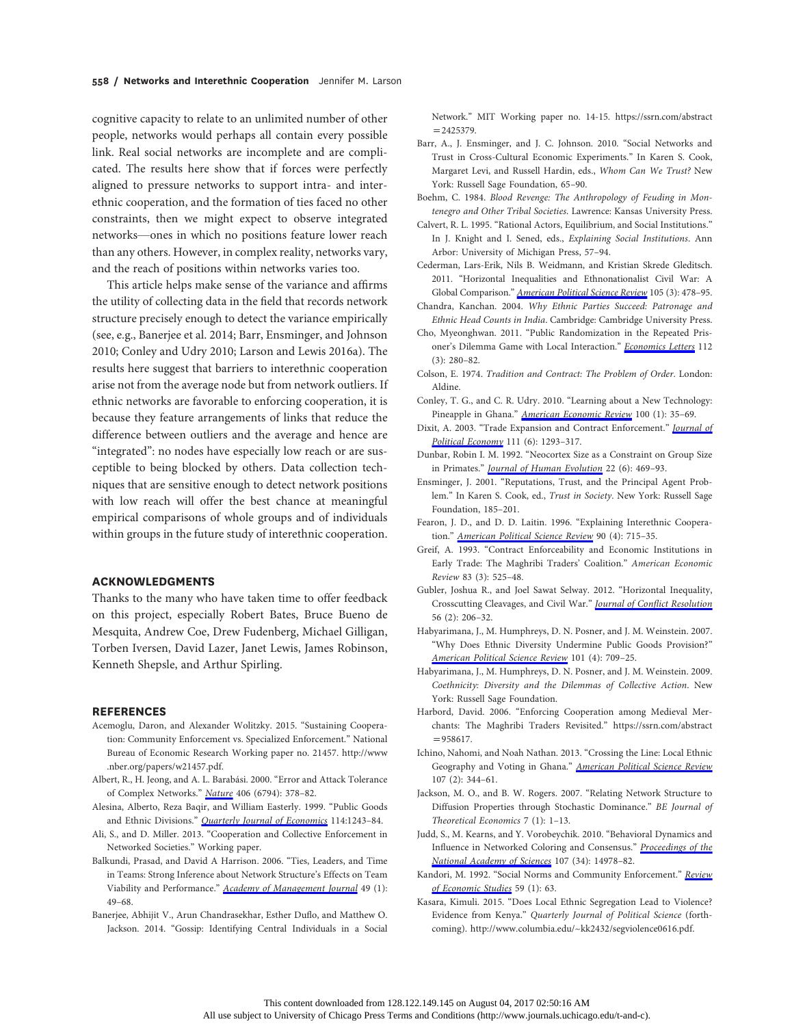cognitive capacity to relate to an unlimited number of other people, networks would perhaps all contain every possible link. Real social networks are incomplete and are complicated. The results here show that if forces were perfectly aligned to pressure networks to support intra- and interethnic cooperation, and the formation of ties faced no other constraints, then we might expect to observe integrated networks—ones in which no positions feature lower reach than any others. However, in complex reality, networks vary, and the reach of positions within networks varies too.

This article helps make sense of the variance and affirms the utility of collecting data in the field that records network structure precisely enough to detect the variance empirically (see, e.g., Banerjee et al. 2014; Barr, Ensminger, and Johnson 2010; Conley and Udry 2010; Larson and Lewis 2016a). The results here suggest that barriers to interethnic cooperation arise not from the average node but from network outliers. If ethnic networks are favorable to enforcing cooperation, it is because they feature arrangements of links that reduce the difference between outliers and the average and hence are "integrated": no nodes have especially low reach or are susceptible to being blocked by others. Data collection techniques that are sensitive enough to detect network positions with low reach will offer the best chance at meaningful empirical comparisons of whole groups and of individuals within groups in the future study of interethnic cooperation.

### ACKNOWLEDGMENTS

Thanks to the many who have taken time to offer feedback on this project, especially Robert Bates, Bruce Bueno de Mesquita, Andrew Coe, Drew Fudenberg, Michael Gilligan, Torben Iversen, David Lazer, Janet Lewis, James Robinson, Kenneth Shepsle, and Arthur Spirling.

#### **REFERENCES**

- Acemoglu, Daron, and Alexander Wolitzky. 2015. "Sustaining Cooperation: Community Enforcement vs. Specialized Enforcement." National Bureau of Economic Research Working paper no. 21457. http://www .nber.org/papers/w21457.pdf.
- Albert, R., H. Jeong, and A. L. Barabási. 2000. "Error and Attack Tolerance of Complex Networks." [Nature](http://www.journals.uchicago.edu/action/showLinks?crossref=10.1038%2F35019019) 406 (6794): 378–82.
- Alesina, Alberto, Reza Baqir, and William Easterly. 1999. "Public Goods and Ethnic Divisions." Ouarterly Journal of Economics 114:1243-84.
- Ali, S., and D. Miller. 2013. "Cooperation and Collective Enforcement in Networked Societies." Working paper.
- Balkundi, Prasad, and David A Harrison. 2006. "Ties, Leaders, and Time in Teams: Strong Inference about Network Structure's Effects on Team Viability and Performance." [Academy of Management Journal](http://www.journals.uchicago.edu/action/showLinks?crossref=10.5465%2FAMJ.2006.20785500) 49 (1): 49–68.
- Banerjee, Abhijit V., Arun Chandrasekhar, Esther Duflo, and Matthew O. Jackson. 2014. "Gossip: Identifying Central Individuals in a Social

Network." MIT Working paper no. 14-15. https://ssrn.com/abstract  $= 2425379$ 

- Barr, A., J. Ensminger, and J. C. Johnson. 2010. "Social Networks and Trust in Cross-Cultural Economic Experiments." In Karen S. Cook, Margaret Levi, and Russell Hardin, eds., Whom Can We Trust? New York: Russell Sage Foundation, 65–90.
- Boehm, C. 1984. Blood Revenge: The Anthropology of Feuding in Montenegro and Other Tribal Societies. Lawrence: Kansas University Press.
- Calvert, R. L. 1995. "Rational Actors, Equilibrium, and Social Institutions." In J. Knight and I. Sened, eds., Explaining Social Institutions. Ann Arbor: University of Michigan Press, 57–94.
- Cederman, Lars-Erik, Nils B. Weidmann, and Kristian Skrede Gleditsch. 2011. "Horizontal Inequalities and Ethnonationalist Civil War: A Global Comparison." [American Political Science Review](http://www.journals.uchicago.edu/action/showLinks?crossref=10.1017%2FS0003055411000207) 105 (3): 478-95.
- Chandra, Kanchan. 2004. Why Ethnic Parties Succeed: Patronage and Ethnic Head Counts in India. Cambridge: Cambridge University Press.
- Cho, Myeonghwan. 2011. "Public Randomization in the Repeated Pris-oner's Dilemma Game with Local Interaction." [Economics Letters](http://www.journals.uchicago.edu/action/showLinks?crossref=10.1016%2Fj.econlet.2011.05.022) 112 (3): 280–82.
- Colson, E. 1974. Tradition and Contract: The Problem of Order. London: Aldine.
- Conley, T. G., and C. R. Udry. 2010. "Learning about a New Technology: Pineapple in Ghana." [American Economic Review](http://www.journals.uchicago.edu/action/showLinks?crossref=10.1257%2Faer.100.1.35) 100 (1): 35-69.
- Dixit, A. 2003. "Trade Expansion and Contract Enforcement." [Journal of](http://www.journals.uchicago.edu/action/showLinks?system=10.1086%2F378528) [Political Economy](http://www.journals.uchicago.edu/action/showLinks?system=10.1086%2F378528) 111 (6): 1293–317.
- Dunbar, Robin I. M. 1992. "Neocortex Size as a Constraint on Group Size in Primates." *[Journal of Human Evolution](http://www.journals.uchicago.edu/action/showLinks?crossref=10.1016%2F0047-2484%2892%2990081-J)* 22 (6): 469-93.
- Ensminger, J. 2001. "Reputations, Trust, and the Principal Agent Problem." In Karen S. Cook, ed., Trust in Society. New York: Russell Sage Foundation, 185–201.
- Fearon, J. D., and D. D. Laitin. 1996. "Explaining Interethnic Coopera-tion." [American Political Science Review](http://www.journals.uchicago.edu/action/showLinks?crossref=10.2307%2F2945838) 90 (4): 715-35.
- Greif, A. 1993. "Contract Enforceability and Economic Institutions in Early Trade: The Maghribi Traders' Coalition." American Economic Review 83 (3): 525–48.
- Gubler, Joshua R., and Joel Sawat Selway. 2012. "Horizontal Inequality, Crosscutting Cleavages, and Civil War." [Journal of Con](http://www.journals.uchicago.edu/action/showLinks?crossref=10.1177%2F0022002711431416)flict Resolution 56 (2): 206–32.
- Habyarimana, J., M. Humphreys, D. N. Posner, and J. M. Weinstein. 2007. "Why Does Ethnic Diversity Undermine Public Goods Provision?" [American Political Science Review](http://www.journals.uchicago.edu/action/showLinks?crossref=10.1017%2FS0003055407070499) 101 (4): 709-25.
- Habyarimana, J., M. Humphreys, D. N. Posner, and J. M. Weinstein. 2009. Coethnicity: Diversity and the Dilemmas of Collective Action. New York: Russell Sage Foundation.
- Harbord, David. 2006. "Enforcing Cooperation among Medieval Merchants: The Maghribi Traders Revisited." https://ssrn.com/abstract  $= 958617.$
- Ichino, Nahomi, and Noah Nathan. 2013. "Crossing the Line: Local Ethnic Geography and Voting in Ghana." [American Political Science Review](http://www.journals.uchicago.edu/action/showLinks?crossref=10.1017%2FS0003055412000664) 107 (2): 344–61.
- Jackson, M. O., and B. W. Rogers. 2007. "Relating Network Structure to Diffusion Properties through Stochastic Dominance." BE Journal of Theoretical Economics 7 (1): 1–13.
- Judd, S., M. Kearns, and Y. Vorobeychik. 2010. "Behavioral Dynamics and Influence in Networked Coloring and Consensus." [Proceedings of the](http://www.journals.uchicago.edu/action/showLinks?crossref=10.1073%2Fpnas.1001280107) [National Academy of Sciences](http://www.journals.uchicago.edu/action/showLinks?crossref=10.1073%2Fpnas.1001280107) 107 (34): 14978-82.
- Kandori, M. 1992. "Social Norms and Community Enforcement." [Review](http://www.journals.uchicago.edu/action/showLinks?crossref=10.2307%2F2297925) [of Economic Studies](http://www.journals.uchicago.edu/action/showLinks?crossref=10.2307%2F2297925) 59 (1): 63.
- Kasara, Kimuli. 2015. "Does Local Ethnic Segregation Lead to Violence? Evidence from Kenya." Quarterly Journal of Political Science (forthcoming). http://www.columbia.edu/~kk2432/segviolence0616.pdf.